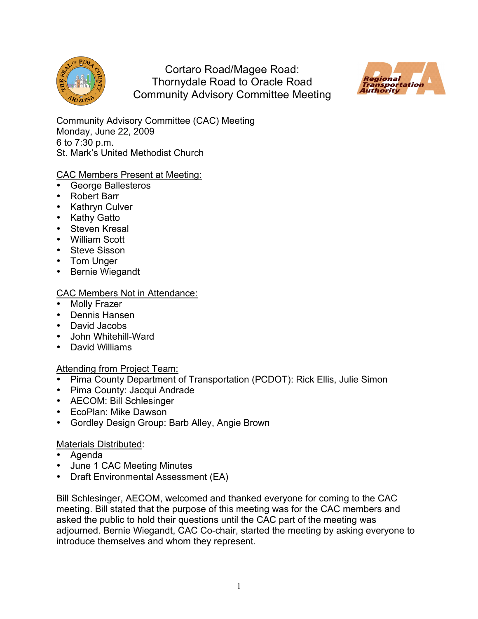

Cortaro Road/Magee Road: Thornydale Road to Oracle Road Community Advisory Committee Meeting



Community Advisory Committee (CAC) Meeting Monday, June 22, 2009 6 to 7:30 p.m. St. Mark's United Methodist Church

## CAC Members Present at Meeting:

- George Ballesteros
- Robert Barr
- Kathryn Culver
- Kathy Gatto
- Steven Kresal
- William Scott
- Steve Sisson
- Tom Unger
- Bernie Wiegandt

## CAC Members Not in Attendance:

- **Molly Frazer**
- Dennis Hansen
- David Jacobs
- John Whitehill-Ward
- David Williams

## Attending from Project Team:

- Pima County Department of Transportation (PCDOT): Rick Ellis, Julie Simon
- Pima County: Jacqui Andrade
- AECOM: Bill Schlesinger
- EcoPlan: Mike Dawson
- Gordley Design Group: Barb Alley, Angie Brown

## Materials Distributed:

- Agenda
- June 1 CAC Meeting Minutes
- Draft Environmental Assessment (EA)

Bill Schlesinger, AECOM, welcomed and thanked everyone for coming to the CAC meeting. Bill stated that the purpose of this meeting was for the CAC members and asked the public to hold their questions until the CAC part of the meeting was adjourned. Bernie Wiegandt, CAC Co-chair, started the meeting by asking everyone to introduce themselves and whom they represent.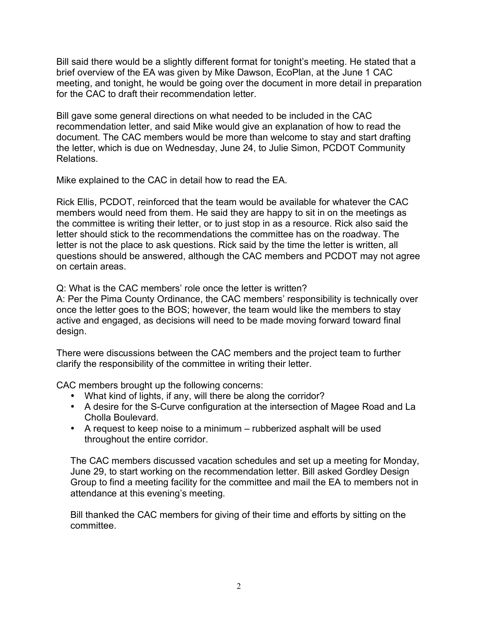Bill said there would be a slightly different format for tonight's meeting. He stated that a brief overview of the EA was given by Mike Dawson, EcoPlan, at the June 1 CAC meeting, and tonight, he would be going over the document in more detail in preparation for the CAC to draft their recommendation letter.

Bill gave some general directions on what needed to be included in the CAC recommendation letter, and said Mike would give an explanation of how to read the document. The CAC members would be more than welcome to stay and start drafting the letter, which is due on Wednesday, June 24, to Julie Simon, PCDOT Community Relations.

Mike explained to the CAC in detail how to read the EA.

Rick Ellis, PCDOT, reinforced that the team would be available for whatever the CAC members would need from them. He said they are happy to sit in on the meetings as the committee is writing their letter, or to just stop in as a resource. Rick also said the letter should stick to the recommendations the committee has on the roadway. The letter is not the place to ask questions. Rick said by the time the letter is written, all questions should be answered, although the CAC members and PCDOT may not agree on certain areas.

Q: What is the CAC members' role once the letter is written?

A: Per the Pima County Ordinance, the CAC members' responsibility is technically over once the letter goes to the BOS; however, the team would like the members to stay active and engaged, as decisions will need to be made moving forward toward final design.

There were discussions between the CAC members and the project team to further clarify the responsibility of the committee in writing their letter.

CAC members brought up the following concerns:

- What kind of lights, if any, will there be along the corridor?
- A desire for the S-Curve configuration at the intersection of Magee Road and La Cholla Boulevard.
- A request to keep noise to a minimum rubberized asphalt will be used throughout the entire corridor.

The CAC members discussed vacation schedules and set up a meeting for Monday, June 29, to start working on the recommendation letter. Bill asked Gordley Design Group to find a meeting facility for the committee and mail the EA to members not in attendance at this evening's meeting.

Bill thanked the CAC members for giving of their time and efforts by sitting on the committee.